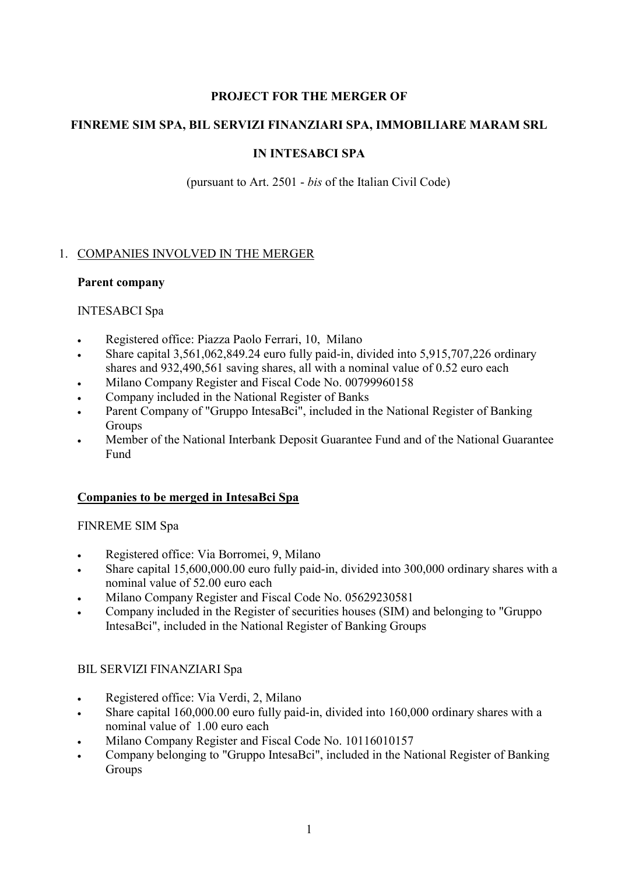#### **PROJECT FOR THE MERGER OF**

## **FINREME SIM SPA, BIL SERVIZI FINANZIARI SPA, IMMOBILIARE MARAM SRL**

## **IN INTESABCI SPA**

(pursuant to Art. 2501 - *bis* of the Italian Civil Code)

## 1. COMPANIES INVOLVED IN THE MERGER

#### **Parent company**

#### INTESABCI Spa

- -Registered office: Piazza Paolo Ferrari, 10, Milano
- - Share capital 3,561,062,849.24 euro fully paid-in, divided into 5,915,707,226 ordinary shares and 932,490,561 saving shares, all with a nominal value of 0.52 euro each
- -Milano Company Register and Fiscal Code No. 00799960158
- -Company included in the National Register of Banks
- - Parent Company of "Gruppo IntesaBci", included in the National Register of Banking Groups
- - Member of the National Interbank Deposit Guarantee Fund and of the National Guarantee Fund

#### **Companies to be merged in IntesaBci Spa**

#### FINREME SIM Spa

- $\bullet$ Registered office: Via Borromei, 9, Milano
- - Share capital 15,600,000.00 euro fully paid-in, divided into 300,000 ordinary shares with a nominal value of 52.00 euro each
- -Milano Company Register and Fiscal Code No. 05629230581
- - Company included in the Register of securities houses (SIM) and belonging to "Gruppo IntesaBci", included in the National Register of Banking Groups

#### BIL SERVIZI FINANZIARI Spa

- -Registered office: Via Verdi, 2, Milano
- - Share capital 160,000.00 euro fully paid-in, divided into 160,000 ordinary shares with a nominal value of 1.00 euro each
- -Milano Company Register and Fiscal Code No. 10116010157
- - Company belonging to "Gruppo IntesaBci", included in the National Register of Banking Groups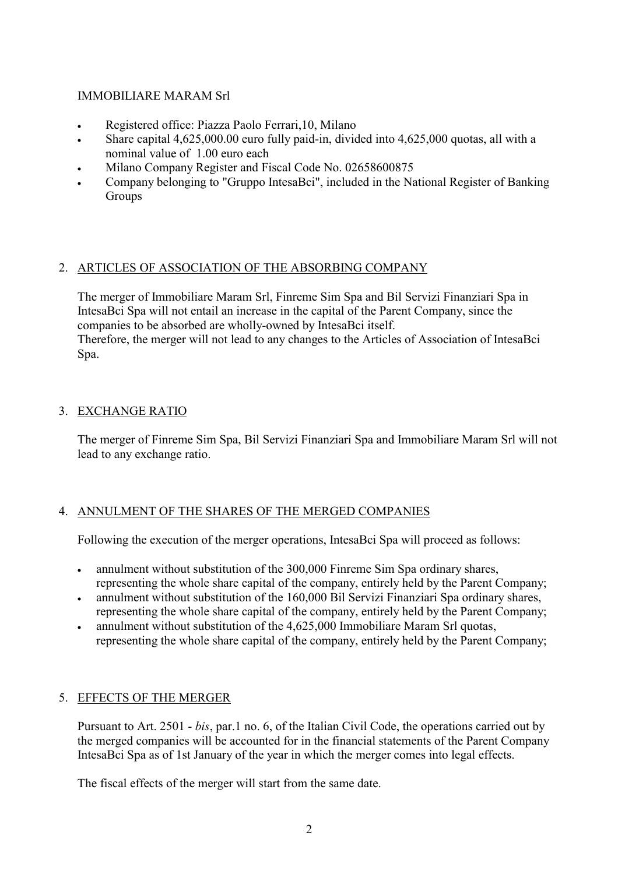#### IMMOBILIARE MARAM Srl

- $\bullet$ Registered office: Piazza Paolo Ferrari,10, Milano
- $\bullet$  Share capital 4,625,000.00 euro fully paid-in, divided into 4,625,000 quotas, all with a nominal value of 1.00 euro each
- -Milano Company Register and Fiscal Code No. 02658600875
- - Company belonging to "Gruppo IntesaBci", included in the National Register of Banking Groups

#### 2. ARTICLES OF ASSOCIATION OF THE ABSORBING COMPANY

The merger of Immobiliare Maram Srl, Finreme Sim Spa and Bil Servizi Finanziari Spa in IntesaBci Spa will not entail an increase in the capital of the Parent Company, since the companies to be absorbed are wholly-owned by IntesaBci itself. Therefore, the merger will not lead to any changes to the Articles of Association of IntesaBci Spa.

## 3. EXCHANGE RATIO

The merger of Finreme Sim Spa, Bil Servizi Finanziari Spa and Immobiliare Maram Srl will not lead to any exchange ratio.

# 4. ANNULMENT OF THE SHARES OF THE MERGED COMPANIES

Following the execution of the merger operations, IntesaBci Spa will proceed as follows:

- $\bullet$  annulment without substitution of the 300,000 Finreme Sim Spa ordinary shares, representing the whole share capital of the company, entirely held by the Parent Company;
- $\bullet$  annulment without substitution of the 160,000 Bil Servizi Finanziari Spa ordinary shares, representing the whole share capital of the company, entirely held by the Parent Company;
- annulment without substitution of the 4,625,000 Immobiliare Maram Srl quotas, representing the whole share capital of the company, entirely held by the Parent Company;

#### 5. EFFECTS OF THE MERGER

Pursuant to Art. 2501 - *bis*, par.1 no. 6, of the Italian Civil Code, the operations carried out by the merged companies will be accounted for in the financial statements of the Parent Company IntesaBci Spa as of 1st January of the year in which the merger comes into legal effects.

The fiscal effects of the merger will start from the same date.